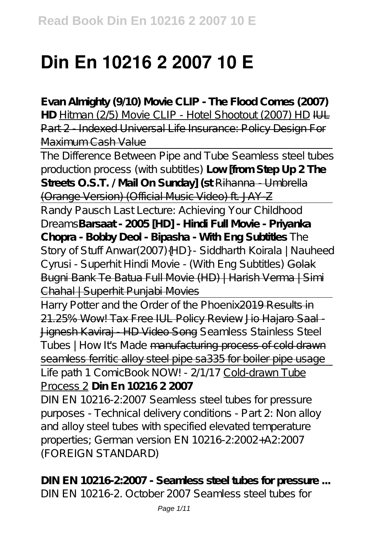# **Din En 10216 2 2007 10 E**

**Evan Almighty (9/10) Movie CLIP - The Flood Comes (2007)** HD Hitman (2/5) Movie CLIP - Hotel Shootout (2007) HD HH Part 2 - Indexed Universal Life Insurance: Policy Design For Maximum Cash Value

The Difference Between Pipe and Tube Seamless steel tubes production process (with subtitles) **Low [from Step Up 2 The Streets O.S.T. / Mail On Sunday] (st** Rihanna - Umbrella (Orange Version) (Official Music Video) ft. JAY-Z

Randy Pausch Last Lecture: Achieving Your Childhood Dreams**Barsaat - 2005 [HD] - Hindi Full Movie - Priyanka Chopra - Bobby Deol - Bipasha - With Eng Subtitles** *The Story of Stuff Anwar(2007){HD} - Siddharth Koirala | Nauheed Cyrusi - Superhit Hindi Movie - (With Eng Subtitles)* Golak Bugni Bank Te Batua Full Movie (HD) | Harish Verma | Simi Chahal | Superhit Punjabi Movies

Harry Potter and the Order of the Phoenix 2019 Results in 21.25% Wow! Tax Free IUL Policy Review Jio Hajaro Saal - Jignesh Kaviraj - HD Video Song *Seamless Stainless Steel Tubes | How It's Made* manufacturing process of cold drawn seamless ferritic alloy steel pipe sa335 for boiler pipe usage

Life path 1 ComicBook NOW! - 2/1/17 Cold-drawn Tube Process 2 **Din En 10216 2 2007**

DIN EN 10216-2:2007 Seamless steel tubes for pressure purposes - Technical delivery conditions - Part 2: Non alloy and alloy steel tubes with specified elevated temperature properties; German version EN 10216-2:2002+A2:2007 (FOREIGN STANDARD)

**DIN EN 10216-2:2007 - Seamless steel tubes for pressure ...** DIN EN 10216-2. October 2007 Seamless steel tubes for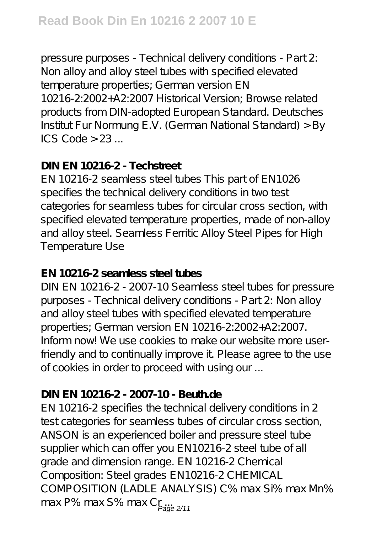pressure purposes - Technical delivery conditions - Part 2: Non alloy and alloy steel tubes with specified elevated temperature properties; German version EN 10216-2:2002+A2:2007 Historical Version; Browse related products from DIN-adopted European Standard. Deutsches Institut Fur Normung E.V. (German National Standard) > By ICS Code  $> 23$ ...

## **DIN EN 10216-2 - Techstreet**

EN 10216-2 seamless steel tubes This part of EN1026 specifies the technical delivery conditions in two test categories for seamless tubes for circular cross section, with specified elevated temperature properties, made of non-allov and alloy steel. Seamless Ferritic Alloy Steel Pipes for High Temperature Use

## **EN 10216-2 seamless steel tubes**

DIN EN 10216-2 - 2007-10 Seamless steel tubes for pressure purposes - Technical delivery conditions - Part 2: Non alloy and alloy steel tubes with specified elevated temperature properties; German version EN 10216-2:2002+A2:2007. Inform now! We use cookies to make our website more userfriendly and to continually improve it. Please agree to the use of cookies in order to proceed with using our ...

## **DIN EN 10216-2 - 2007-10 - Beuth.de**

EN 10216-2 specifies the technical delivery conditions in 2 test categories for seamless tubes of circular cross section, ANSON is an experienced boiler and pressure steel tube supplier which can offer you EN10216-2 steel tube of all grade and dimension range. EN 10216-2 Chemical Composition: Steel grades EN10216-2 CHEMICAL COMPOSITION (LADLE ANALYSIS) C% max Si% max Mn% max P% max S% max Cr<sub>eage 2/11</sub>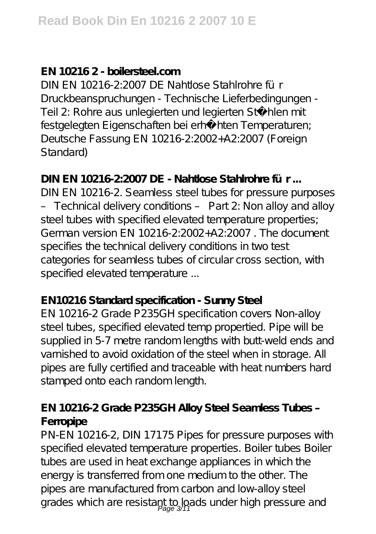## **EN 10216 2 - boilersteel.com**

DIN EN 10216-2:2007 DE Nahtlose Stahlrohre für Druckbeanspruchungen - Technische Lieferbedingungen - Teil 2: Rohre aus unlegierten und legierten Stählen mit festgelegten Eigenschaften bei erhöhten Temperaturen; Deutsche Fassung EN 10216-2:2002+A2:2007 (Foreign Standard)

## **DIN EN 10216-2:2007 DE - Nahtlose Stahlrohre für ...**

DIN EN 10216-2. Seamless steel tubes for pressure purposes – Technical delivery conditions – Part 2: Non alloy and alloy steel tubes with specified elevated temperature properties; German version EN 10216-2:2002+A2:2007 . The document specifies the technical delivery conditions in two test categories for seamless tubes of circular cross section, with specified elevated temperature ...

## **EN10216 Standard specification - Sunny Steel**

EN 10216-2 Grade P235GH specification covers Non-alloy steel tubes, specified elevated temp propertied. Pipe will be supplied in 5-7 metre random lengths with butt-weld ends and varnished to avoid oxidation of the steel when in storage. All pipes are fully certified and traceable with heat numbers hard stamped onto each random length.

## **EN 10216-2 Grade P235GH Alloy Steel Seamless Tubes – Ferropipe**

PN-EN 10216-2, DIN 17175 Pipes for pressure purposes with specified elevated temperature properties. Boiler tubes Boiler tubes are used in heat exchange appliances in which the energy is transferred from one medium to the other. The pipes are manufactured from carbon and low-alloy steel grades which are resistant to loads under high pressure and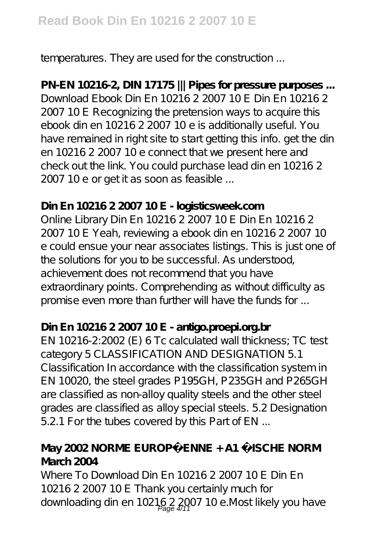temperatures. They are used for the construction ...

# **PN-EN 10216-2, DIN 17175 ||| Pipes for pressure purposes ...**

Download Ebook Din En 10216 2 2007 10 E Din En 10216 2 2007 10 E Recognizing the pretension ways to acquire this ebook din en 10216 2 2007 10 e is additionally useful. You have remained in right site to start getting this info. get the din en 10216 2 2007 10 e connect that we present here and check out the link. You could purchase lead din en 10216 2 2007 10 e or get it as soon as feasible ...

## **Din En 10216 2 2007 10 E - logisticsweek.com**

Online Library Din En 10216 2 2007 10 E Din En 10216 2 2007 10 E Yeah, reviewing a ebook din en 10216 2 2007 10 e could ensue your near associates listings. This is just one of the solutions for you to be successful. As understood, achievement does not recommend that you have extraordinary points. Comprehending as without difficulty as promise even more than further will have the funds for ...

## **Din En 10216 2 2007 10 E - antigo.proepi.org.br**

EN 10216-2:2002 (E) 6 Tc calculated wall thickness; TC test category 5 CLASSIFICATION AND DESIGNATION 5.1 Classification In accordance with the classification system in EN 10020, the steel grades P195GH, P235GH and P265GH are classified as non-alloy quality steels and the other steel grades are classified as alloy special steels. 5.2 Designation 5.2.1 For the tubes covered by this Part of EN ...

## **May 2002 NORME EUROPÉENNE + A1 ÄISCHE NORM March 2004**

Where To Download Din En 10216 2 2007 10 E Din En 10216 2 2007 10 E Thank you certainly much for downloading din en 10216 2 2007 10 e. Most likely you have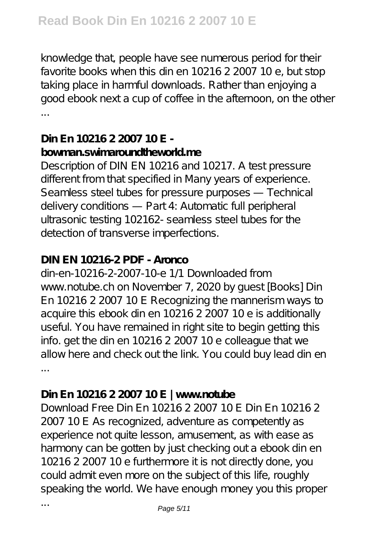knowledge that, people have see numerous period for their favorite books when this din en 10216 2 2007 10 e, but stop taking place in harmful downloads. Rather than enjoying a good ebook next a cup of coffee in the afternoon, on the other ...

## **Din En 10216 2 2007 10 E bowman.swimaroundtheworld.me**

Description of DIN EN 10216 and 10217. A test pressure different from that specified in Many years of experience. Seamless steel tubes for pressure purposes — Technical delivery conditions — Part 4: Automatic full peripheral ultrasonic testing 102162- seamless steel tubes for the detection of transverse imperfections.

## **DIN EN 10216-2 PDF - Aronco**

din-en-10216-2-2007-10-e 1/1 Downloaded from www.notube.ch on November 7, 2020 by guest [Books] Din En 10216 2 2007 10 E Recognizing the mannerism ways to acquire this ebook din en 10216 2 2007 10 e is additionally useful. You have remained in right site to begin getting this info. get the din en 10216 2 2007 10 e colleague that we allow here and check out the link. You could buy lead din en ...

# **Din En 10216 2 2007 10 E | www.notube**

Download Free Din En 10216 2 2007 10 E Din En 10216 2 2007 10 E As recognized, adventure as competently as experience not quite lesson, amusement, as with ease as harmony can be gotten by just checking out a ebook din en 10216 2 2007 10 e furthermore it is not directly done, you could admit even more on the subject of this life, roughly speaking the world. We have enough money you this proper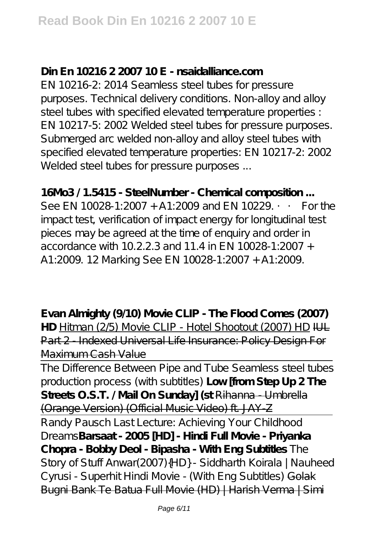## **Din En 10216 2 2007 10 E - nsaidalliance.com**

EN 10216-2: 2014 Seamless steel tubes for pressure purposes. Technical delivery conditions. Non-alloy and alloy steel tubes with specified elevated temperature properties : EN 10217-5: 2002 Welded steel tubes for pressure purposes. Submerged arc welded non-alloy and alloy steel tubes with specified elevated temperature properties: EN 10217-2: 2002 Welded steel tubes for pressure purposes ...

**16Mo3 / 1.5415 - SteelNumber - Chemical composition ...** See EN 10028-1:2007 + A1:2009 and EN 10229. •• For the impact test, verification of impact energy for longitudinal test pieces may be agreed at the time of enquiry and order in accordance with 10.2.2.3 and 11.4 in EN 10028-1:2007 + A1:2009. 12 Marking See EN 10028-1:2007 + A1:2009.

**Evan Almighty (9/10) Movie CLIP - The Flood Comes (2007) HD** Hitman (2/5) Movie CLIP - Hotel Shootout (2007) HD IUL Part 2 - Indexed Universal Life Insurance: Policy Design For Maximum Cash Value

The Difference Between Pipe and Tube Seamless steel tubes production process (with subtitles) **Low [from Step Up 2 The Streets O.S.T. / Mail On Sunday] (st** Rihanna - Umbrella (Orange Version) (Official Music Video) ft. JAY-Z

Randy Pausch Last Lecture: Achieving Your Childhood Dreams**Barsaat - 2005 [HD] - Hindi Full Movie - Priyanka Chopra - Bobby Deol - Bipasha - With Eng Subtitles** *The Story of Stuff Anwar(2007){HD} - Siddharth Koirala | Nauheed Cyrusi - Superhit Hindi Movie - (With Eng Subtitles)* Golak Bugni Bank Te Batua Full Movie (HD) | Harish Verma | Simi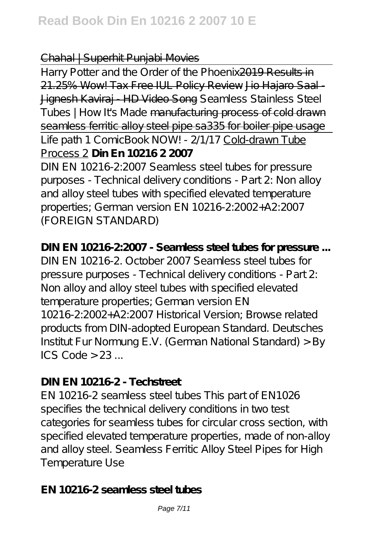#### Chahal | Superhit Punjabi Movies

Harry Potter and the Order of the Phoenix 2019 Results in 21.25% Wow! Tax Free IUL Policy Review Jio Hajaro Saal - Jignesh Kaviraj - HD Video Song *Seamless Stainless Steel Tubes | How It's Made* manufacturing process of cold drawn seamless ferritic alloy steel pipe sa335 for boiler pipe usage Life path 1 ComicBook NOW! - 2/1/17 Cold-drawn Tube Process 2 **Din En 10216 2 2007**

DIN EN 10216-2:2007 Seamless steel tubes for pressure purposes - Technical delivery conditions - Part 2: Non alloy and alloy steel tubes with specified elevated temperature properties; German version EN 10216-2:2002+A2:2007 (FOREIGN STANDARD)

**DIN EN 10216-2:2007 - Seamless steel tubes for pressure ...** DIN EN 10216-2. October 2007 Seamless steel tubes for pressure purposes - Technical delivery conditions - Part 2: Non alloy and alloy steel tubes with specified elevated temperature properties; German version EN 10216-2:2002+A2:2007 Historical Version; Browse related products from DIN-adopted European Standard. Deutsches Institut Fur Normung E.V. (German National Standard) > By ICS Code  $> 23$  ...

## **DIN EN 10216-2 - Techstreet**

EN 10216-2 seamless steel tubes This part of EN1026 specifies the technical delivery conditions in two test categories for seamless tubes for circular cross section, with specified elevated temperature properties, made of non-alloy and alloy steel. Seamless Ferritic Alloy Steel Pipes for High Temperature Use

**EN 10216-2 seamless steel tubes**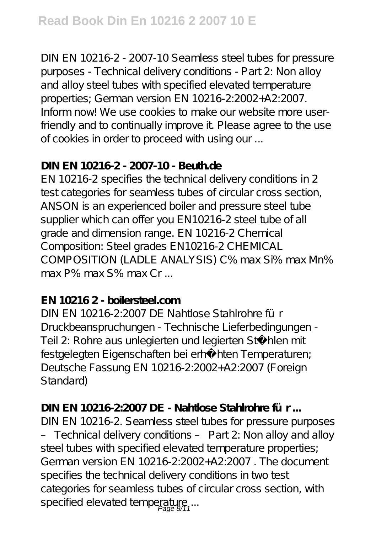DIN EN 10216-2 - 2007-10 Seamless steel tubes for pressure purposes - Technical delivery conditions - Part 2: Non alloy and alloy steel tubes with specified elevated temperature properties; German version EN 10216-2:2002+A2:2007. Inform now! We use cookies to make our website more userfriendly and to continually improve it. Please agree to the use of cookies in order to proceed with using our ...

### **DIN EN 10216-2 - 2007-10 - Beuth.de**

EN 10216-2 specifies the technical delivery conditions in 2 test categories for seamless tubes of circular cross section, ANSON is an experienced boiler and pressure steel tube supplier which can offer you EN10216-2 steel tube of all grade and dimension range. EN 10216-2 Chemical Composition: Steel grades EN10216-2 CHEMICAL COMPOSITION (LADLE ANALYSIS) C% max Si% max Mn% max P% max S% max Cr ...

## **EN 10216 2 - boilersteel.com**

DIN EN 10216-2:2007 DE Nahtlose Stahlrohre für Druckbeanspruchungen - Technische Lieferbedingungen - Teil 2: Rohre aus unlegierten und legierten Stählen mit festgelegten Eigenschaften bei erhöhten Temperaturen; Deutsche Fassung EN 10216-2:2002+A2:2007 (Foreign Standard)

## **DIN EN 10216-2:2007 DE - Nahtlose Stahlrohre für ...**

DIN EN 10216-2. Seamless steel tubes for pressure purposes – Technical delivery conditions – Part 2: Non alloy and alloy steel tubes with specified elevated temperature properties; German version EN 10216-2:2002+A2:2007 . The document specifies the technical delivery conditions in two test categories for seamless tubes of circular cross section, with specified elevated temperature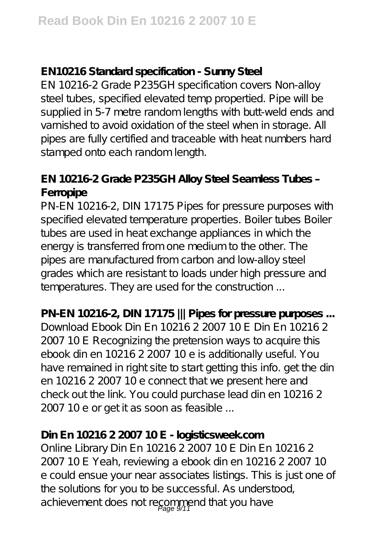## **EN10216 Standard specification - Sunny Steel**

EN 10216-2 Grade P235GH specification covers Non-alloy steel tubes, specified elevated temp propertied. Pipe will be supplied in 5-7 metre random lengths with butt-weld ends and varnished to avoid oxidation of the steel when in storage. All pipes are fully certified and traceable with heat numbers hard stamped onto each random length.

# **EN 10216-2 Grade P235GH Alloy Steel Seamless Tubes – Ferropipe**

PN-EN 10216-2, DIN 17175 Pipes for pressure purposes with specified elevated temperature properties. Boiler tubes Boiler tubes are used in heat exchange appliances in which the energy is transferred from one medium to the other. The pipes are manufactured from carbon and low-alloy steel grades which are resistant to loads under high pressure and temperatures. They are used for the construction ...

**PN-EN 10216-2, DIN 17175 ||| Pipes for pressure purposes ...** Download Ebook Din En 10216 2 2007 10 E Din En 10216 2 2007 10 E Recognizing the pretension ways to acquire this ebook din en 10216 2 2007 10 e is additionally useful. You have remained in right site to start getting this info. get the din en 10216 2 2007 10 e connect that we present here and check out the link. You could purchase lead din en 10216 2 2007 10 e or get it as soon as feasible ...

# **Din En 10216 2 2007 10 E - logisticsweek.com**

Online Library Din En 10216 2 2007 10 E Din En 10216 2 2007 10 E Yeah, reviewing a ebook din en 10216 2 2007 10 e could ensue your near associates listings. This is just one of the solutions for you to be successful. As understood. achievement does not recommend that you have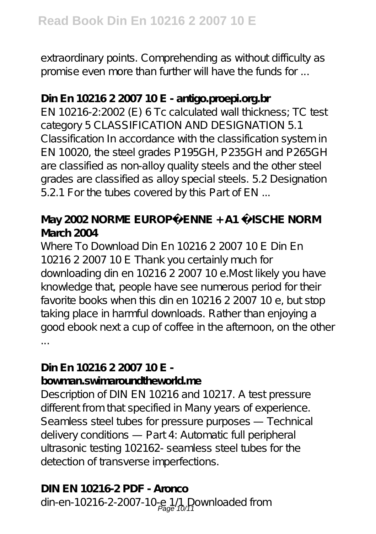extraordinary points. Comprehending as without difficulty as promise even more than further will have the funds for ...

# **Din En 10216 2 2007 10 E - antigo.proepi.org.br**

EN 10216-2:2002 (E) 6 Tc calculated wall thickness; TC test category 5 CLASSIFICATION AND DESIGNATION 5.1 Classification In accordance with the classification system in EN 10020, the steel grades P195GH, P235GH and P265GH are classified as non-alloy quality steels and the other steel grades are classified as alloy special steels. 5.2 Designation 5.2.1 For the tubes covered by this Part of EN ...

# **May 2002 NORME EUROPÉENNE + A1 ÄISCHE NORM March 2004**

Where To Download Din En 10216 2 2007 10 E Din En 10216 2 2007 10 E Thank you certainly much for downloading din en 10216 2 2007 10 e.Most likely you have knowledge that, people have see numerous period for their favorite books when this din en 10216 2 2007 10 e, but stop taking place in harmful downloads. Rather than enjoying a good ebook next a cup of coffee in the afternoon, on the other ...

## **Din En 10216 2 2007 10 E bowman.swimaroundtheworld.me**

Description of DIN EN 10216 and 10217. A test pressure different from that specified in Many years of experience. Seamless steel tubes for pressure purposes — Technical delivery conditions — Part 4: Automatic full peripheral ultrasonic testing 102162- seamless steel tubes for the detection of transverse imperfections.

## **DIN EN 10216-2 PDF - Aronco**

din-en-10216-2-2007-10-e 1/1 Downloaded from